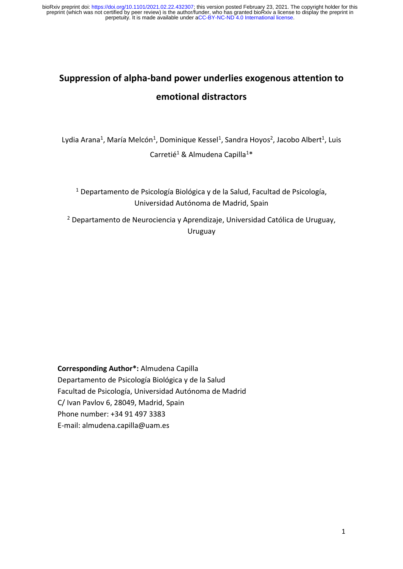perpetuity. It is made available under [aCC-BY-NC-ND 4.0 International license.](http://creativecommons.org/licenses/by-nc-nd/4.0/) preprint (which was not certified by peer review) is the author/funder, who has granted bioRxiv a license to display the preprint in bioRxiv preprint doi: [https://doi.org/10.1101/2021.02.22.432307;](https://doi.org/10.1101/2021.02.22.432307) this version posted February 23, 2021. The copyright holder for this

# **Suppression of alpha-band power underlies exogenous attention to emotional distractors**

Lydia Arana<sup>1</sup>, María Melcón<sup>1</sup>, Dominique Kessel<sup>1</sup>, Sandra Hoyos<sup>2</sup>, Jacobo Albert<sup>1</sup>, Luis Carretié<sup>1</sup> & Almudena Capilla<sup>1\*</sup>

<sup>1</sup> Departamento de Psicología Biológica y de la Salud, Facultad de Psicología, Universidad Autónoma de Madrid, Spain

<sup>2</sup> Departamento de Neurociencia y Aprendizaje, Universidad Católica de Uruguay, Uruguay

**Corresponding Author\*:** Almudena Capilla Departamento de Psicología Biológica y de la Salud Facultad de Psicología, Universidad Autónoma de Madrid C/ Ivan Pavlov 6, 28049, Madrid, Spain Phone number: +34 91 497 3383 E-mail: almudena.capilla@uam.es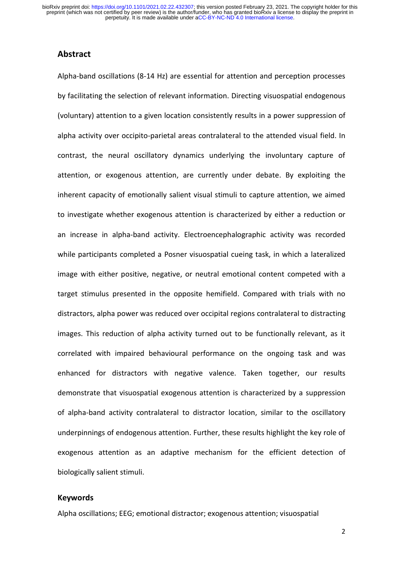perpetuity. It is made available under [aCC-BY-NC-ND 4.0 International license.](http://creativecommons.org/licenses/by-nc-nd/4.0/) preprint (which was not certified by peer review) is the author/funder, who has granted bioRxiv a license to display the preprint in bioRxiv preprint doi: [https://doi.org/10.1101/2021.02.22.432307;](https://doi.org/10.1101/2021.02.22.432307) this version posted February 23, 2021. The copyright holder for this

# **Abstract**

Alpha-band oscillations (8-14 Hz) are essential for attention and perception processes by facilitating the selection of relevant information. Directing visuospatial endogenous (voluntary) attention to a given location consistently results in a power suppression of alpha activity over occipito-parietal areas contralateral to the attended visual field. In contrast, the neural oscillatory dynamics underlying the involuntary capture of attention, or exogenous attention, are currently under debate. By exploiting the inherent capacity of emotionally salient visual stimuli to capture attention, we aimed to investigate whether exogenous attention is characterized by either a reduction or an increase in alpha-band activity. Electroencephalographic activity was recorded while participants completed a Posner visuospatial cueing task, in which a lateralized image with either positive, negative, or neutral emotional content competed with a target stimulus presented in the opposite hemifield. Compared with trials with no distractors, alpha power was reduced over occipital regions contralateral to distracting images. This reduction of alpha activity turned out to be functionally relevant, as it correlated with impaired behavioural performance on the ongoing task and was enhanced for distractors with negative valence. Taken together, our results demonstrate that visuospatial exogenous attention is characterized by a suppression of alpha-band activity contralateral to distractor location, similar to the oscillatory underpinnings of endogenous attention. Further, these results highlight the key role of exogenous attention as an adaptive mechanism for the efficient detection of biologically salient stimuli.

#### **Keywords**

Alpha oscillations; EEG; emotional distractor; exogenous attention; visuospatial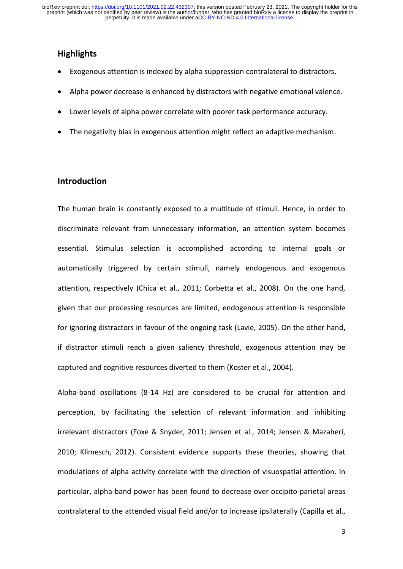# **Highlights**

- Exogenous attention is indexed by alpha suppression contralateral to distractors.
- Alpha power decrease is enhanced by distractors with negative emotional valence.
- Lower levels of alpha power correlate with poorer task performance accuracy.
- The negativity bias in exogenous attention might reflect an adaptive mechanism.

# **Introduction**

The human brain is constantly exposed to a multitude of stimuli. Hence, in order to discriminate relevant from unnecessary information, an attention system becomes essential. Stimulus selection is accomplished according to internal goals or automatically triggered by certain stimuli, namely endogenous and exogenous attention, respectively (Chica et al., 2011; Corbetta et al., 2008). On the one hand, given that our processing resources are limited, endogenous attention is responsible for ignoring distractors in favour of the ongoing task (Lavie, 2005). On the other hand, if distractor stimuli reach a given saliency threshold, exogenous attention may be captured and cognitive resources diverted to them (Koster et al., 2004).

Alpha-band oscillations (8-14 Hz) are considered to be crucial for attention and perception, by facilitating the selection of relevant information and inhibiting irrelevant distractors (Foxe & Snyder, 2011; Jensen et al., 2014; Jensen & Mazaheri, 2010; Klimesch, 2012). Consistent evidence supports these theories, showing that modulations of alpha activity correlate with the direction of visuospatial attention. In particular, alpha-band power has been found to decrease over occipito-parietal areas contralateral to the attended visual field and/or to increase ipsilaterally (Capilla et al.,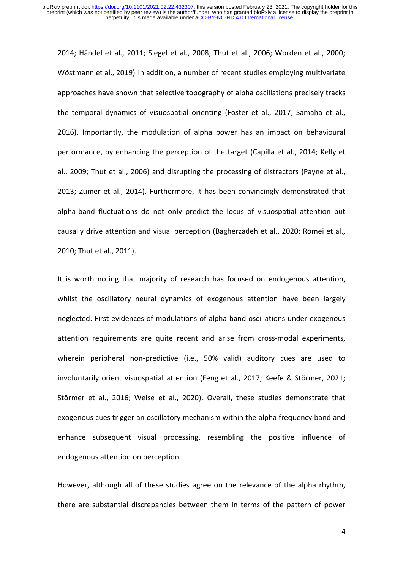2014; Händel et al., 2011; Siegel et al., 2008; Thut et al., 2006; Worden et al., 2000; Wöstmann et al., 2019). In addition, a number of recent studies employing multivariate approaches have shown that selective topography of alpha oscillations precisely tracks the temporal dynamics of visuospatial orienting (Foster et al., 2017; Samaha et al., 2016). Importantly, the modulation of alpha power has an impact on behavioural performance, by enhancing the perception of the target (Capilla et al., 2014; Kelly et al., 2009; Thut et al., 2006) and disrupting the processing of distractors (Payne et al., 2013; Zumer et al., 2014). Furthermore, it has been convincingly demonstrated that alpha-band fluctuations do not only predict the locus of visuospatial attention but causally drive attention and visual perception (Bagherzadeh et al., 2020; Romei et al., 2010; Thut et al., 2011).

It is worth noting that majority of research has focused on endogenous attention, whilst the oscillatory neural dynamics of exogenous attention have been largely neglected. First evidences of modulations of alpha-band oscillations under exogenous attention requirements are quite recent and arise from cross-modal experiments, wherein peripheral non-predictive (i.e., 50% valid) auditory cues are used to involuntarily orient visuospatial attention (Feng et al., 2017; Keefe & Störmer, 2021; Störmer et al., 2016; Weise et al., 2020). Overall, these studies demonstrate that exogenous cues trigger an oscillatory mechanism within the alpha frequency band and enhance subsequent visual processing, resembling the positive influence of endogenous attention on perception.

However, although all of these studies agree on the relevance of the alpha rhythm, there are substantial discrepancies between them in terms of the pattern of power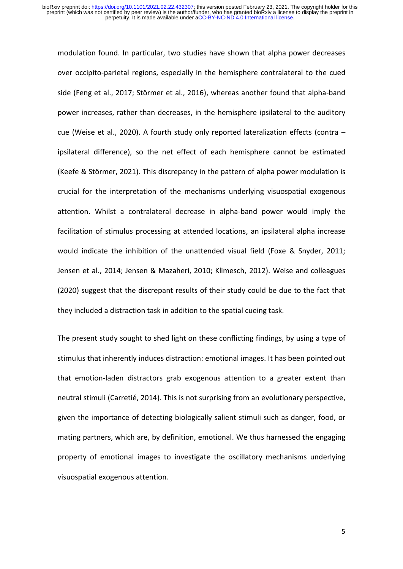modulation found. In particular, two studies have shown that alpha power decreases over occipito-parietal regions, especially in the hemisphere contralateral to the cued side (Feng et al., 2017; Störmer et al., 2016), whereas another found that alpha-band power increases, rather than decreases, in the hemisphere ipsilateral to the auditory cue (Weise et al., 2020). A fourth study only reported lateralization effects (contra – ipsilateral difference), so the net effect of each hemisphere cannot be estimated (Keefe & Störmer, 2021). This discrepancy in the pattern of alpha power modulation is crucial for the interpretation of the mechanisms underlying visuospatial exogenous attention. Whilst a contralateral decrease in alpha-band power would imply the facilitation of stimulus processing at attended locations, an ipsilateral alpha increase would indicate the inhibition of the unattended visual field (Foxe & Snyder, 2011; Jensen et al., 2014; Jensen & Mazaheri, 2010; Klimesch, 2012). Weise and colleagues (2020) suggest that the discrepant results of their study could be due to the fact that they included a distraction task in addition to the spatial cueing task.

The present study sought to shed light on these conflicting findings, by using a type of stimulus that inherently induces distraction: emotional images. It has been pointed out that emotion-laden distractors grab exogenous attention to a greater extent than neutral stimuli (Carretié, 2014). This is not surprising from an evolutionary perspective, given the importance of detecting biologically salient stimuli such as danger, food, or mating partners, which are, by definition, emotional. We thus harnessed the engaging property of emotional images to investigate the oscillatory mechanisms underlying visuospatial exogenous attention.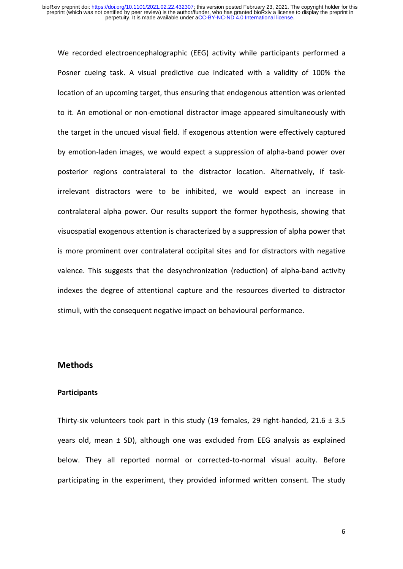We recorded electroencephalographic (EEG) activity while participants performed a Posner cueing task. A visual predictive cue indicated with a validity of 100% the location of an upcoming target, thus ensuring that endogenous attention was oriented to it. An emotional or non-emotional distractor image appeared simultaneously with the target in the uncued visual field. If exogenous attention were effectively captured by emotion-laden images, we would expect a suppression of alpha-band power over posterior regions contralateral to the distractor location. Alternatively, if taskirrelevant distractors were to be inhibited, we would expect an increase in contralateral alpha power. Our results support the former hypothesis, showing that visuospatial exogenous attention is characterized by a suppression of alpha power that is more prominent over contralateral occipital sites and for distractors with negative valence. This suggests that the desynchronization (reduction) of alpha-band activity indexes the degree of attentional capture and the resources diverted to distractor stimuli, with the consequent negative impact on behavioural performance.

## **Methods**

#### **Participants**

Thirty-six volunteers took part in this study (19 females, 29 right-handed,  $21.6 \pm 3.5$ years old, mean ± SD), although one was excluded from EEG analysis as explained below. They all reported normal or corrected-to-normal visual acuity. Before participating in the experiment, they provided informed written consent. The study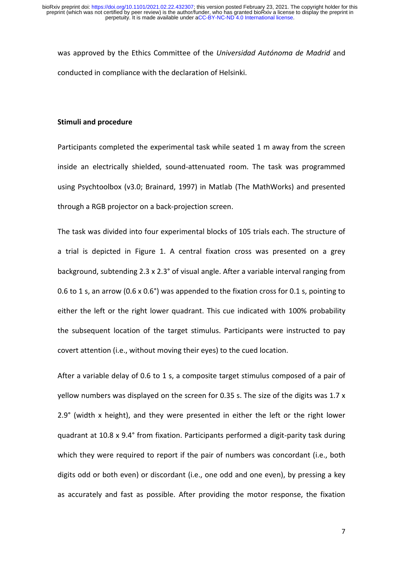was approved by the Ethics Committee of the *Universidad Autónoma de Madrid* and conducted in compliance with the declaration of Helsinki.

# **Stimuli and procedure**

Participants completed the experimental task while seated 1 m away from the screen inside an electrically shielded, sound-attenuated room. The task was programmed using Psychtoolbox (v3.0; Brainard, 1997) in Matlab (The MathWorks) and presented through a RGB projector on a back-projection screen.

The task was divided into four experimental blocks of 105 trials each. The structure of a trial is depicted in Figure 1. A central fixation cross was presented on a grey background, subtending 2.3 x 2.3° of visual angle. After a variable interval ranging from 0.6 to 1 s, an arrow (0.6 x 0.6°) was appended to the fixation cross for 0.1 s, pointing to either the left or the right lower quadrant. This cue indicated with 100% probability the subsequent location of the target stimulus. Participants were instructed to pay covert attention (i.e., without moving their eyes) to the cued location.

After a variable delay of 0.6 to 1 s, a composite target stimulus composed of a pair of yellow numbers was displayed on the screen for 0.35 s. The size of the digits was 1.7 x 2.9° (width x height), and they were presented in either the left or the right lower quadrant at 10.8 x 9.4° from fixation. Participants performed a digit-parity task during which they were required to report if the pair of numbers was concordant (i.e., both digits odd or both even) or discordant (i.e., one odd and one even), by pressing a key as accurately and fast as possible. After providing the motor response, the fixation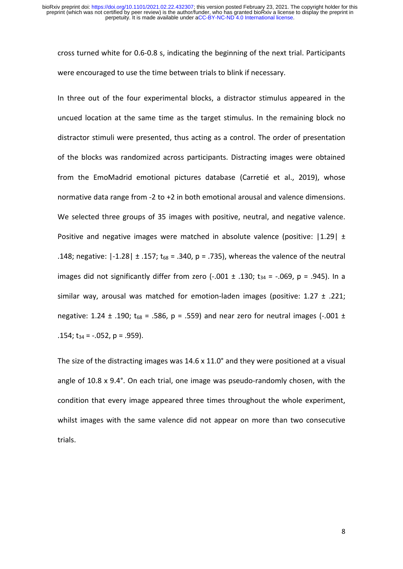cross turned white for 0.6-0.8 s, indicating the beginning of the next trial. Participants were encouraged to use the time between trials to blink if necessary.

In three out of the four experimental blocks, a distractor stimulus appeared in the uncued location at the same time as the target stimulus. In the remaining block no distractor stimuli were presented, thus acting as a control. The order of presentation of the blocks was randomized across participants. Distracting images were obtained from the EmoMadrid emotional pictures database (Carretié et al., 2019), whose normative data range from -2 to +2 in both emotional arousal and valence dimensions. We selected three groups of 35 images with positive, neutral, and negative valence. Positive and negative images were matched in absolute valence (positive:  $|1.29| \pm$ .148; negative:  $|-1.28| \pm .157$ ; t<sub>68</sub> = .340, p = .735), whereas the valence of the neutral images did not significantly differ from zero  $(-.001 \pm .130; t_{34} = -.069, p = .945)$ . In a similar way, arousal was matched for emotion-laden images (positive:  $1.27 \pm .221$ ; negative: 1.24  $\pm$  .190; t<sub>68</sub> = .586, p = .559) and near zero for neutral images (-.001  $\pm$ .154;  $t_{34} = -.052$ ,  $p = .959$ ).

The size of the distracting images was 14.6 x 11.0° and they were positioned at a visual angle of 10.8 x 9.4°. On each trial, one image was pseudo-randomly chosen, with the condition that every image appeared three times throughout the whole experiment, whilst images with the same valence did not appear on more than two consecutive trials.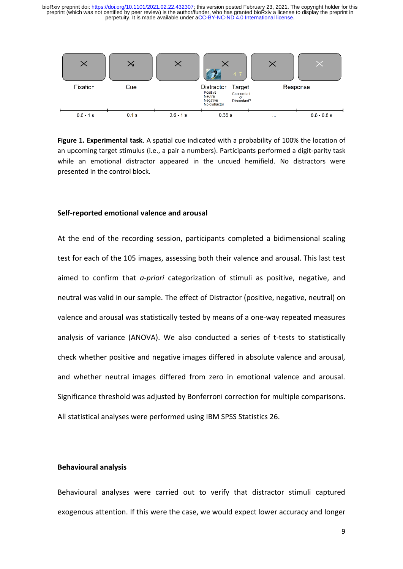perpetuity. It is made available under [aCC-BY-NC-ND 4.0 International license.](http://creativecommons.org/licenses/by-nc-nd/4.0/) preprint (which was not certified by peer review) is the author/funder, who has granted bioRxiv a license to display the preprint in bioRxiv preprint doi: [https://doi.org/10.1101/2021.02.22.432307;](https://doi.org/10.1101/2021.02.22.432307) this version posted February 23, 2021. The copyright holder for this



**Figure 1. Experimental task**. A spatial cue indicated with a probability of 100% the location of an upcoming target stimulus (i.e., a pair a numbers). Participants performed a digit-parity task while an emotional distractor appeared in the uncued hemifield. No distractors were presented in the control block.

#### **Self-reported emotional valence and arousal**

At the end of the recording session, participants completed a bidimensional scaling test for each of the 105 images, assessing both their valence and arousal. This last test aimed to confirm that *a-priori* categorization of stimuli as positive, negative, and neutral was valid in our sample. The effect of Distractor (positive, negative, neutral) on valence and arousal was statistically tested by means of a one-way repeated measures analysis of variance (ANOVA). We also conducted a series of t-tests to statistically check whether positive and negative images differed in absolute valence and arousal, and whether neutral images differed from zero in emotional valence and arousal. Significance threshold was adjusted by Bonferroni correction for multiple comparisons. All statistical analyses were performed using IBM SPSS Statistics 26.

#### **Behavioural analysis**

Behavioural analyses were carried out to verify that distractor stimuli captured exogenous attention. If this were the case, we would expect lower accuracy and longer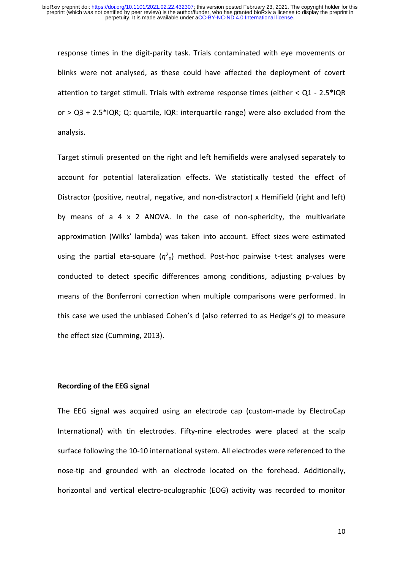response times in the digit-parity task. Trials contaminated with eye movements or blinks were not analysed, as these could have affected the deployment of covert attention to target stimuli. Trials with extreme response times (either  $< Q1 - 2.5$ \*IQR or  $>$  Q3 + 2.5\*IQR; Q: quartile, IQR: interquartile range) were also excluded from the analysis.

Target stimuli presented on the right and left hemifields were analysed separately to account for potential lateralization effects. We statistically tested the effect of Distractor (positive, neutral, negative, and non-distractor) x Hemifield (right and left) by means of a 4 x 2 ANOVA. In the case of non-sphericity, the multivariate approximation (Wilks' lambda) was taken into account. Effect sizes were estimated using the partial eta-square  $(\eta^2$ <sup>p</sup>) method. Post-hoc pairwise t-test analyses were conducted to detect specific differences among conditions, adjusting p-values by means of the Bonferroni correction when multiple comparisons were performed. In this case we used the unbiased Cohen's d (also referred to as Hedge's *g*) to measure the effect size (Cumming, 2013).

# **Recording of the EEG signal**

The EEG signal was acquired using an electrode cap (custom-made by ElectroCap International) with tin electrodes. Fifty-nine electrodes were placed at the scalp surface following the 10-10 international system. All electrodes were referenced to the nose-tip and grounded with an electrode located on the forehead. Additionally, horizontal and vertical electro-oculographic (EOG) activity was recorded to monitor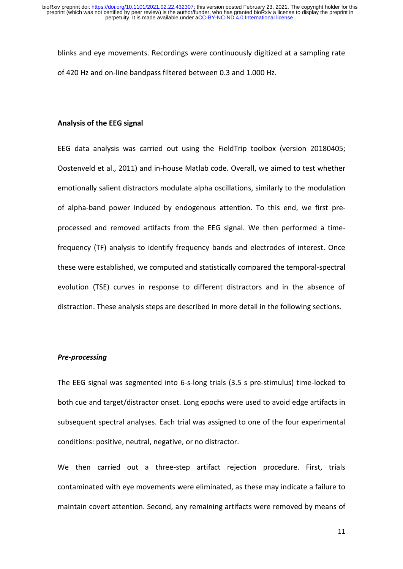blinks and eye movements. Recordings were continuously digitized at a sampling rate of 420 Hz and on-line bandpass filtered between 0.3 and 1.000 Hz.

#### **Analysis of the EEG signal**

EEG data analysis was carried out using the FieldTrip toolbox (version 20180405; Oostenveld et al., 2011) and in-house Matlab code. Overall, we aimed to test whether emotionally salient distractors modulate alpha oscillations, similarly to the modulation of alpha-band power induced by endogenous attention. To this end, we first preprocessed and removed artifacts from the EEG signal. We then performed a timefrequency (TF) analysis to identify frequency bands and electrodes of interest. Once these were established, we computed and statistically compared the temporal-spectral evolution (TSE) curves in response to different distractors and in the absence of distraction. These analysis steps are described in more detail in the following sections.

#### *Pre-processing*

The EEG signal was segmented into 6-s-long trials (3.5 s pre-stimulus) time-locked to both cue and target/distractor onset. Long epochs were used to avoid edge artifacts in subsequent spectral analyses. Each trial was assigned to one of the four experimental conditions: positive, neutral, negative, or no distractor.

We then carried out a three-step artifact rejection procedure. First, trials contaminated with eye movements were eliminated, as these may indicate a failure to maintain covert attention. Second, any remaining artifacts were removed by means of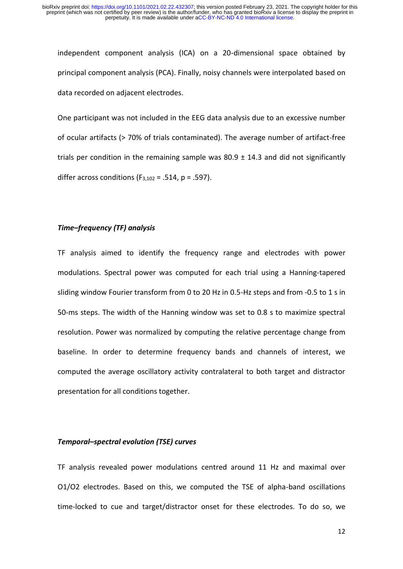independent component analysis (ICA) on a 20-dimensional space obtained by principal component analysis (PCA). Finally, noisy channels were interpolated based on data recorded on adjacent electrodes.

One participant was not included in the EEG data analysis due to an excessive number of ocular artifacts (> 70% of trials contaminated). The average number of artifact-free trials per condition in the remaining sample was  $80.9 \pm 14.3$  and did not significantly differ across conditions ( $F_{3,102}$  = .514, p = .597).

# *Time–frequency (TF) analysis*

TF analysis aimed to identify the frequency range and electrodes with power modulations. Spectral power was computed for each trial using a Hanning-tapered sliding window Fourier transform from 0 to 20 Hz in 0.5-Hz steps and from -0.5 to 1 s in 50-ms steps. The width of the Hanning window was set to 0.8 s to maximize spectral resolution. Power was normalized by computing the relative percentage change from baseline. In order to determine frequency bands and channels of interest, we computed the average oscillatory activity contralateral to both target and distractor presentation for all conditions together.

#### *Temporal–spectral evolution (TSE) curves*

TF analysis revealed power modulations centred around 11 Hz and maximal over O1/O2 electrodes. Based on this, we computed the TSE of alpha-band oscillations time-locked to cue and target/distractor onset for these electrodes. To do so, we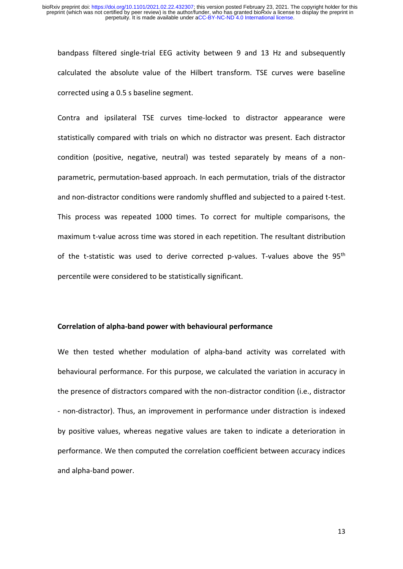bandpass filtered single-trial EEG activity between 9 and 13 Hz and subsequently calculated the absolute value of the Hilbert transform. TSE curves were baseline corrected using a 0.5 s baseline segment.

Contra and ipsilateral TSE curves time-locked to distractor appearance were statistically compared with trials on which no distractor was present. Each distractor condition (positive, negative, neutral) was tested separately by means of a nonparametric, permutation-based approach. In each permutation, trials of the distractor and non-distractor conditions were randomly shuffled and subjected to a paired t-test. This process was repeated 1000 times. To correct for multiple comparisons, the maximum t-value across time was stored in each repetition. The resultant distribution of the t-statistic was used to derive corrected p-values. T-values above the 95<sup>th</sup> percentile were considered to be statistically significant.

#### **Correlation of alpha-band power with behavioural performance**

We then tested whether modulation of alpha-band activity was correlated with behavioural performance. For this purpose, we calculated the variation in accuracy in the presence of distractors compared with the non-distractor condition (i.e., distractor - non-distractor). Thus, an improvement in performance under distraction is indexed by positive values, whereas negative values are taken to indicate a deterioration in performance. We then computed the correlation coefficient between accuracy indices and alpha-band power.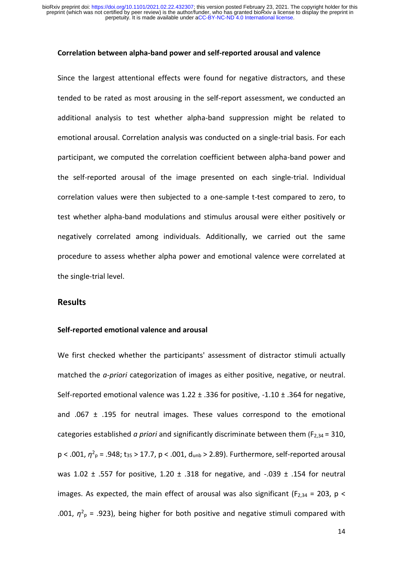#### **Correlation between alpha-band power and self-reported arousal and valence**

Since the largest attentional effects were found for negative distractors, and these tended to be rated as most arousing in the self-report assessment, we conducted an additional analysis to test whether alpha-band suppression might be related to emotional arousal. Correlation analysis was conducted on a single-trial basis. For each participant, we computed the correlation coefficient between alpha-band power and the self-reported arousal of the image presented on each single-trial. Individual correlation values were then subjected to a one-sample t-test compared to zero, to test whether alpha-band modulations and stimulus arousal were either positively or negatively correlated among individuals. Additionally, we carried out the same procedure to assess whether alpha power and emotional valence were correlated at the single-trial level.

# **Results**

#### **Self-reported emotional valence and arousal**

We first checked whether the participants' assessment of distractor stimuli actually matched the *a-priori* categorization of images as either positive, negative, or neutral. Self-reported emotional valence was 1.22 ± .336 for positive, -1.10 ± .364 for negative, and .067  $\pm$  .195 for neutral images. These values correspond to the emotional categories established *a priori* and significantly discriminate between them (F2,34 = 310,  $p < .001$ ,  $\eta^2$ <sub>p</sub> = .948; t<sub>35</sub> > 17.7, p < .001, d<sub>unb</sub> > 2.89). Furthermore, self-reported arousal was 1.02  $\pm$  .557 for positive, 1.20  $\pm$  .318 for negative, and -.039  $\pm$  .154 for neutral images. As expected, the main effect of arousal was also significant ( $F_{2,34}$  = 203, p < .001,  $\eta^2$ <sub>p</sub> = .923), being higher for both positive and negative stimuli compared with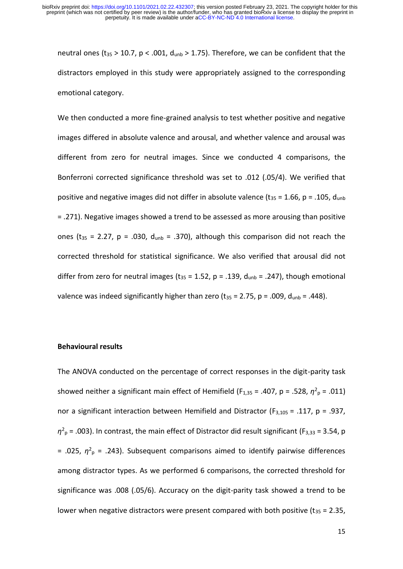neutral ones ( $t_{35}$  > 10.7, p < .001,  $d_{\text{unb}}$  > 1.75). Therefore, we can be confident that the distractors employed in this study were appropriately assigned to the corresponding emotional category.

We then conducted a more fine-grained analysis to test whether positive and negative images differed in absolute valence and arousal, and whether valence and arousal was different from zero for neutral images. Since we conducted 4 comparisons, the Bonferroni corrected significance threshold was set to .012 (.05/4). We verified that positive and negative images did not differ in absolute valence ( $t_{35}$  = 1.66, p = .105,  $d_{\text{unb}}$ ) = .271). Negative images showed a trend to be assessed as more arousing than positive ones ( $t_{35}$  = 2.27, p = .030,  $d_{unb}$  = .370), although this comparison did not reach the corrected threshold for statistical significance. We also verified that arousal did not differ from zero for neutral images ( $t_{35}$  = 1.52, p = .139,  $d_{umb}$  = .247), though emotional valence was indeed significantly higher than zero ( $t_{35}$  = 2.75, p = .009,  $d_{\text{unb}}$  = .448).

#### **Behavioural results**

The ANOVA conducted on the percentage of correct responses in the digit-parity task showed neither a significant main effect of Hemifield ( $F_{1,35}$  = .407, p = .528,  $\eta^2$ <sub>p</sub> = .011) nor a significant interaction between Hemifield and Distractor ( $F_{3,105}$  = .117, p = .937,  $\eta^2$ <sub>p</sub> = .003). In contrast, the main effect of Distractor did result significant (F<sub>3,33</sub> = 3.54, p  $= .025, \eta^2$ <sub>p</sub> = .243). Subsequent comparisons aimed to identify pairwise differences among distractor types. As we performed 6 comparisons, the corrected threshold for significance was .008 (.05/6). Accuracy on the digit-parity task showed a trend to be lower when negative distractors were present compared with both positive  $(t_{35} = 2.35)$ ,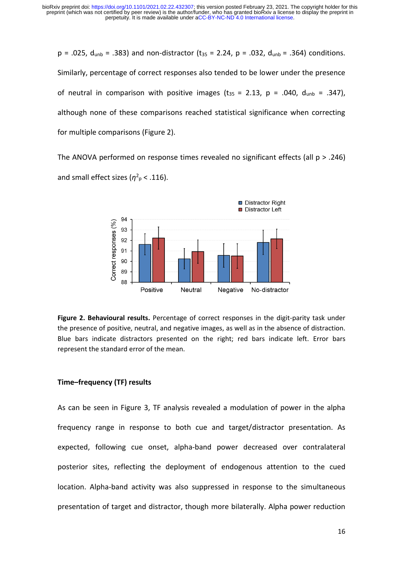$p = .025$ ,  $d_{umb} = .383$ ) and non-distractor ( $t_{35} = 2.24$ ,  $p = .032$ ,  $d_{umb} = .364$ ) conditions. Similarly, percentage of correct responses also tended to be lower under the presence of neutral in comparison with positive images ( $t_{35} = 2.13$ , p = .040,  $d_{\text{unb}} = .347$ ), although none of these comparisons reached statistical significance when correcting for multiple comparisons (Figure 2).

The ANOVA performed on response times revealed no significant effects (all  $p > .246$ ) and small effect sizes ( $\eta^2$ <sub>p</sub> < .116).



**Figure 2. Behavioural results.** Percentage of correct responses in the digit-parity task under the presence of positive, neutral, and negative images, as well as in the absence of distraction. Blue bars indicate distractors presented on the right; red bars indicate left. Error bars represent the standard error of the mean.

# **Time–frequency (TF) results**

As can be seen in Figure 3, TF analysis revealed a modulation of power in the alpha frequency range in response to both cue and target/distractor presentation. As expected, following cue onset, alpha-band power decreased over contralateral posterior sites, reflecting the deployment of endogenous attention to the cued location. Alpha-band activity was also suppressed in response to the simultaneous presentation of target and distractor, though more bilaterally. Alpha power reduction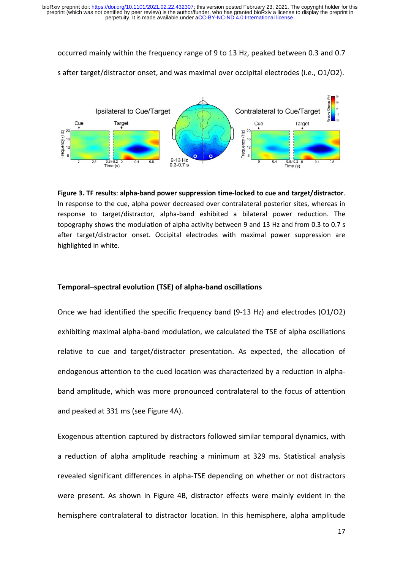occurred mainly within the frequency range of 9 to 13 Hz, peaked between 0.3 and 0.7



s after target/distractor onset, and was maximal over occipital electrodes (i.e., O1/O2).

**Figure 3. TF results**: **alpha-band power suppression time-locked to cue and target/distractor**. In response to the cue, alpha power decreased over contralateral posterior sites, whereas in response to target/distractor, alpha-band exhibited a bilateral power reduction. The topography shows the modulation of alpha activity between 9 and 13 Hz and from 0.3 to 0.7 s after target/distractor onset. Occipital electrodes with maximal power suppression are highlighted in white.

# **Temporal–spectral evolution (TSE) of alpha-band oscillations**

Once we had identified the specific frequency band (9-13 Hz) and electrodes (O1/O2) exhibiting maximal alpha-band modulation, we calculated the TSE of alpha oscillations relative to cue and target/distractor presentation. As expected, the allocation of endogenous attention to the cued location was characterized by a reduction in alphaband amplitude, which was more pronounced contralateral to the focus of attention and peaked at 331 ms (see Figure 4A).

Exogenous attention captured by distractors followed similar temporal dynamics, with a reduction of alpha amplitude reaching a minimum at 329 ms. Statistical analysis revealed significant differences in alpha-TSE depending on whether or not distractors were present. As shown in Figure 4B, distractor effects were mainly evident in the hemisphere contralateral to distractor location. In this hemisphere, alpha amplitude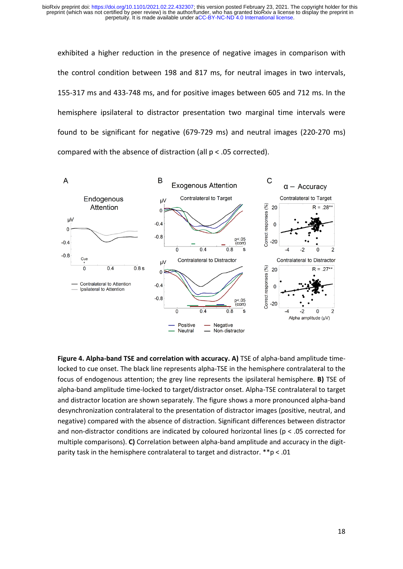exhibited a higher reduction in the presence of negative images in comparison with the control condition between 198 and 817 ms, for neutral images in two intervals, 155-317 ms and 433-748 ms, and for positive images between 605 and 712 ms. In the hemisphere ipsilateral to distractor presentation two marginal time intervals were found to be significant for negative (679-729 ms) and neutral images (220-270 ms) compared with the absence of distraction (all p < .05 corrected).



Figure 4. Alpha-band TSE and correlation with accuracy. A) TSE of alpha-band amplitude timelocked to cue onset. The black line represents alpha-TSE in the hemisphere contralateral to the focus of endogenous attention; the grey line represents the ipsilateral hemisphere. **B)** TSE of alpha-band amplitude time-locked to target/distractor onset. Alpha-TSE contralateral to target and distractor location are shown separately. The figure shows a more pronounced alpha-band desynchronization contralateral to the presentation of distractor images (positive, neutral, and negative) compared with the absence of distraction. Significant differences between distractor and non-distractor conditions are indicated by coloured horizontal lines ( $p < .05$  corrected for multiple comparisons). **C)** Correlation between alpha-band amplitude and accuracy in the digitparity task in the hemisphere contralateral to target and distractor. \*\*p < .01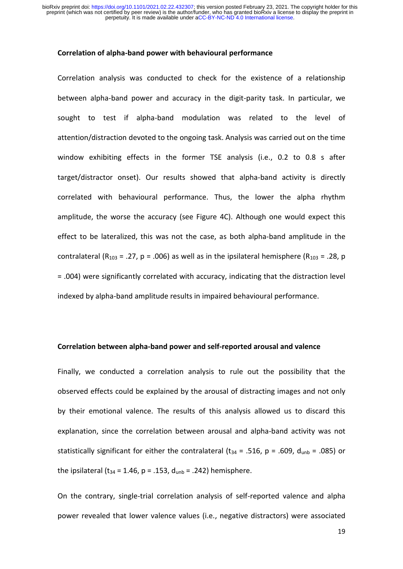#### **Correlation of alpha-band power with behavioural performance**

Correlation analysis was conducted to check for the existence of a relationship between alpha-band power and accuracy in the digit-parity task. In particular, we sought to test if alpha-band modulation was related to the level of attention/distraction devoted to the ongoing task. Analysis was carried out on the time window exhibiting effects in the former TSE analysis (i.e., 0.2 to 0.8 s after target/distractor onset). Our results showed that alpha-band activity is directly correlated with behavioural performance. Thus, the lower the alpha rhythm amplitude, the worse the accuracy (see Figure 4C). Although one would expect this effect to be lateralized, this was not the case, as both alpha-band amplitude in the contralateral (R<sub>103</sub> = .27, p = .006) as well as in the ipsilateral hemisphere (R<sub>103</sub> = .28, p = .004) were significantly correlated with accuracy, indicating that the distraction level indexed by alpha-band amplitude results in impaired behavioural performance.

#### **Correlation between alpha-band power and self-reported arousal and valence**

Finally, we conducted a correlation analysis to rule out the possibility that the observed effects could be explained by the arousal of distracting images and not only by their emotional valence. The results of this analysis allowed us to discard this explanation, since the correlation between arousal and alpha-band activity was not statistically significant for either the contralateral ( $t_{34}$  = .516, p = .609,  $d_{umb}$  = .085) or the ipsilateral (t<sub>34</sub> = 1.46, p = .153,  $d_{umb}$  = .242) hemisphere.

On the contrary, single-trial correlation analysis of self-reported valence and alpha power revealed that lower valence values (i.e., negative distractors) were associated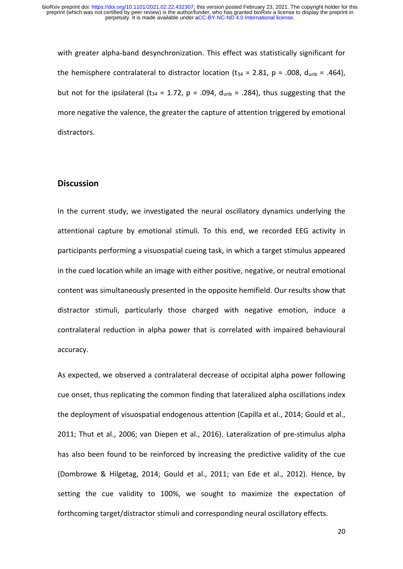with greater alpha-band desynchronization. This effect was statistically significant for the hemisphere contralateral to distractor location ( $t_{34}$  = 2.81, p = .008,  $d_{umb}$  = .464), but not for the ipsilateral (t<sub>34</sub> = 1.72, p = .094,  $d_{\text{unb}}$  = .284), thus suggesting that the more negative the valence, the greater the capture of attention triggered by emotional distractors.

# **Discussion**

In the current study, we investigated the neural oscillatory dynamics underlying the attentional capture by emotional stimuli. To this end, we recorded EEG activity in participants performing a visuospatial cueing task, in which a target stimulus appeared in the cued location while an image with either positive, negative, or neutral emotional content was simultaneously presented in the opposite hemifield. Our results show that distractor stimuli, particularly those charged with negative emotion, induce a contralateral reduction in alpha power that is correlated with impaired behavioural accuracy.

As expected, we observed a contralateral decrease of occipital alpha power following cue onset, thus replicating the common finding that lateralized alpha oscillations index the deployment of visuospatial endogenous attention (Capilla et al., 2014; Gould et al., 2011; Thut et al., 2006; van Diepen et al., 2016). Lateralization of pre-stimulus alpha has also been found to be reinforced by increasing the predictive validity of the cue (Dombrowe & Hilgetag, 2014; Gould et al., 2011; van Ede et al., 2012). Hence, by setting the cue validity to 100%, we sought to maximize the expectation of forthcoming target/distractor stimuli and corresponding neural oscillatory effects.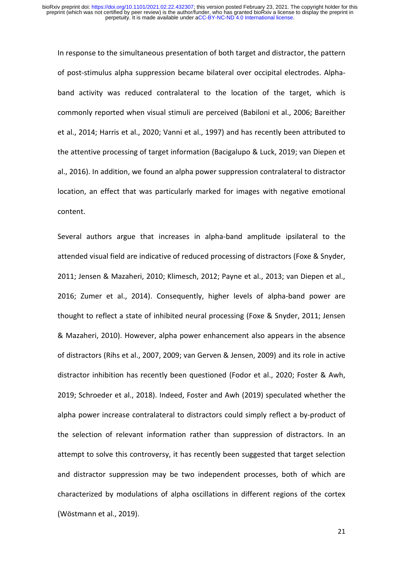In response to the simultaneous presentation of both target and distractor, the pattern of post-stimulus alpha suppression became bilateral over occipital electrodes. Alphaband activity was reduced contralateral to the location of the target, which is commonly reported when visual stimuli are perceived (Babiloni et al., 2006; Bareither et al., 2014; Harris et al., 2020; Vanni et al., 1997) and has recently been attributed to the attentive processing of target information (Bacigalupo & Luck, 2019; van Diepen et al., 2016). In addition, we found an alpha power suppression contralateral to distractor location, an effect that was particularly marked for images with negative emotional content.

Several authors argue that increases in alpha-band amplitude ipsilateral to the attended visual field are indicative of reduced processing of distractors (Foxe & Snyder, 2011; Jensen & Mazaheri, 2010; Klimesch, 2012; Payne et al., 2013; van Diepen et al., 2016; Zumer et al., 2014). Consequently, higher levels of alpha-band power are thought to reflect a state of inhibited neural processing (Foxe & Snyder, 2011; Jensen & Mazaheri, 2010). However, alpha power enhancement also appears in the absence of distractors (Rihs et al., 2007, 2009; van Gerven & Jensen, 2009) and its role in active distractor inhibition has recently been questioned (Fodor et al., 2020; Foster & Awh, 2019; Schroeder et al., 2018). Indeed, Foster and Awh (2019) speculated whether the alpha power increase contralateral to distractors could simply reflect a by-product of the selection of relevant information rather than suppression of distractors. In an attempt to solve this controversy, it has recently been suggested that target selection and distractor suppression may be two independent processes, both of which are characterized by modulations of alpha oscillations in different regions of the cortex (Wöstmann et al., 2019).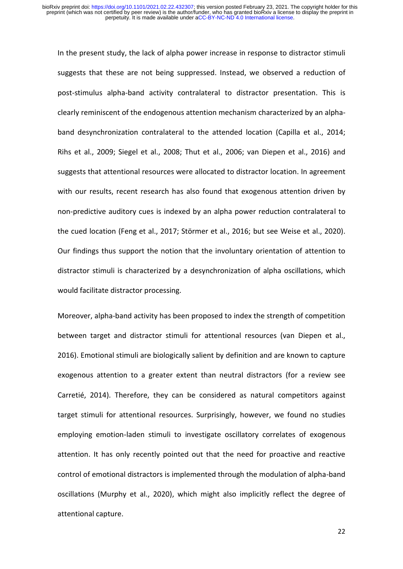In the present study, the lack of alpha power increase in response to distractor stimuli suggests that these are not being suppressed. Instead, we observed a reduction of post-stimulus alpha-band activity contralateral to distractor presentation. This is clearly reminiscent of the endogenous attention mechanism characterized by an alphaband desynchronization contralateral to the attended location (Capilla et al., 2014; Rihs et al., 2009; Siegel et al., 2008; Thut et al., 2006; van Diepen et al., 2016) and suggests that attentional resources were allocated to distractor location. In agreement with our results, recent research has also found that exogenous attention driven by non-predictive auditory cues is indexed by an alpha power reduction contralateral to the cued location (Feng et al., 2017; Störmer et al., 2016; but see Weise et al., 2020). Our findings thus support the notion that the involuntary orientation of attention to distractor stimuli is characterized by a desynchronization of alpha oscillations, which would facilitate distractor processing.

Moreover, alpha-band activity has been proposed to index the strength of competition between target and distractor stimuli for attentional resources (van Diepen et al., 2016). Emotional stimuli are biologically salient by definition and are known to capture exogenous attention to a greater extent than neutral distractors (for a review see Carretié, 2014). Therefore, they can be considered as natural competitors against target stimuli for attentional resources. Surprisingly, however, we found no studies employing emotion-laden stimuli to investigate oscillatory correlates of exogenous attention. It has only recently pointed out that the need for proactive and reactive control of emotional distractors is implemented through the modulation of alpha-band oscillations (Murphy et al., 2020), which might also implicitly reflect the degree of attentional capture.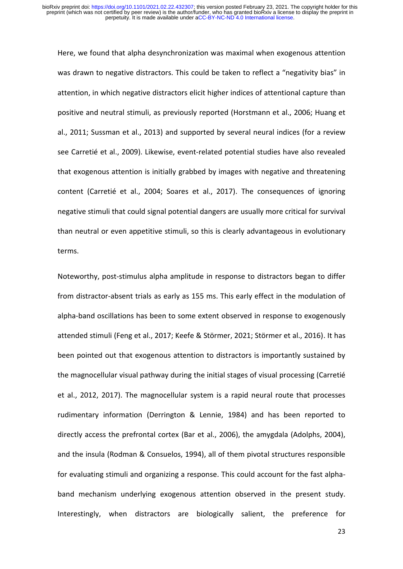Here, we found that alpha desynchronization was maximal when exogenous attention was drawn to negative distractors. This could be taken to reflect a "negativity bias" in attention, in which negative distractors elicit higher indices of attentional capture than positive and neutral stimuli, as previously reported (Horstmann et al., 2006; Huang et al., 2011; Sussman et al., 2013) and supported by several neural indices (for a review see Carretié et al., 2009). Likewise, event-related potential studies have also revealed that exogenous attention is initially grabbed by images with negative and threatening content (Carretié et al., 2004; Soares et al., 2017). The consequences of ignoring negative stimuli that could signal potential dangers are usually more critical for survival than neutral or even appetitive stimuli, so this is clearly advantageous in evolutionary terms.

Noteworthy, post-stimulus alpha amplitude in response to distractors began to differ from distractor-absent trials as early as 155 ms. This early effect in the modulation of alpha-band oscillations has been to some extent observed in response to exogenously attended stimuli (Feng et al., 2017; Keefe & Störmer, 2021; Störmer et al., 2016). It has been pointed out that exogenous attention to distractors is importantly sustained by the magnocellular visual pathway during the initial stages of visual processing (Carretié et al., 2012, 2017). The magnocellular system is a rapid neural route that processes rudimentary information (Derrington & Lennie, 1984) and has been reported to directly access the prefrontal cortex (Bar et al., 2006), the amygdala (Adolphs, 2004), and the insula (Rodman & Consuelos, 1994), all of them pivotal structures responsible for evaluating stimuli and organizing a response. This could account for the fast alphaband mechanism underlying exogenous attention observed in the present study. Interestingly, when distractors are biologically salient, the preference for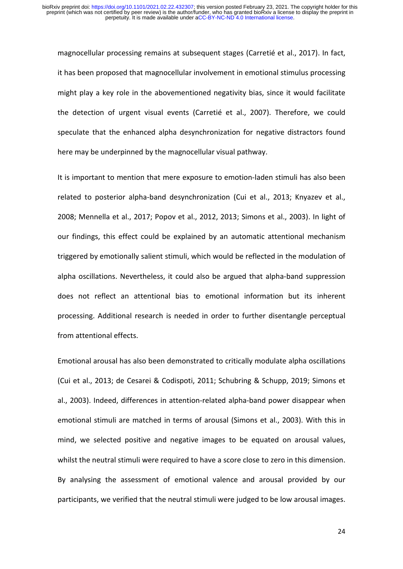magnocellular processing remains at subsequent stages (Carretié et al., 2017). In fact, it has been proposed that magnocellular involvement in emotional stimulus processing might play a key role in the abovementioned negativity bias, since it would facilitate the detection of urgent visual events (Carretié et al., 2007). Therefore, we could speculate that the enhanced alpha desynchronization for negative distractors found here may be underpinned by the magnocellular visual pathway.

It is important to mention that mere exposure to emotion-laden stimuli has also been related to posterior alpha-band desynchronization (Cui et al., 2013; Knyazev et al., 2008; Mennella et al., 2017; Popov et al., 2012, 2013; Simons et al., 2003). In light of our findings, this effect could be explained by an automatic attentional mechanism triggered by emotionally salient stimuli, which would be reflected in the modulation of alpha oscillations. Nevertheless, it could also be argued that alpha-band suppression does not reflect an attentional bias to emotional information but its inherent processing. Additional research is needed in order to further disentangle perceptual from attentional effects.

Emotional arousal has also been demonstrated to critically modulate alpha oscillations (Cui et al., 2013; de Cesarei & Codispoti, 2011; Schubring & Schupp, 2019; Simons et al., 2003). Indeed, differences in attention-related alpha-band power disappear when emotional stimuli are matched in terms of arousal (Simons et al., 2003). With this in mind, we selected positive and negative images to be equated on arousal values, whilst the neutral stimuli were required to have a score close to zero in this dimension. By analysing the assessment of emotional valence and arousal provided by our participants, we verified that the neutral stimuli were judged to be low arousal images.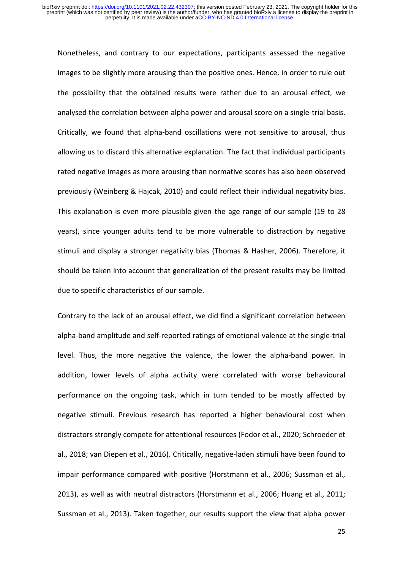Nonetheless, and contrary to our expectations, participants assessed the negative images to be slightly more arousing than the positive ones. Hence, in order to rule out the possibility that the obtained results were rather due to an arousal effect, we analysed the correlation between alpha power and arousal score on a single-trial basis. Critically, we found that alpha-band oscillations were not sensitive to arousal, thus allowing us to discard this alternative explanation. The fact that individual participants rated negative images as more arousing than normative scores has also been observed previously (Weinberg & Hajcak, 2010) and could reflect their individual negativity bias. This explanation is even more plausible given the age range of our sample (19 to 28 years), since younger adults tend to be more vulnerable to distraction by negative stimuli and display a stronger negativity bias (Thomas & Hasher, 2006). Therefore, it should be taken into account that generalization of the present results may be limited due to specific characteristics of our sample.

Contrary to the lack of an arousal effect, we did find a significant correlation between alpha-band amplitude and self-reported ratings of emotional valence at the single-trial level. Thus, the more negative the valence, the lower the alpha-band power. In addition, lower levels of alpha activity were correlated with worse behavioural performance on the ongoing task, which in turn tended to be mostly affected by negative stimuli. Previous research has reported a higher behavioural cost when distractors strongly compete for attentional resources (Fodor et al., 2020; Schroeder et al., 2018; van Diepen et al., 2016). Critically, negative-laden stimuli have been found to impair performance compared with positive (Horstmann et al., 2006; Sussman et al., 2013), as well as with neutral distractors (Horstmann et al., 2006; Huang et al., 2011; Sussman et al., 2013). Taken together, our results support the view that alpha power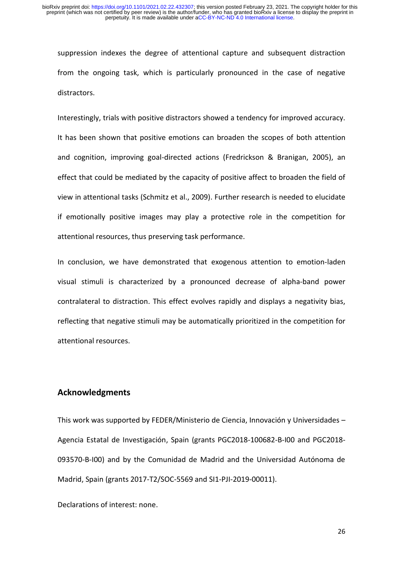suppression indexes the degree of attentional capture and subsequent distraction from the ongoing task, which is particularly pronounced in the case of negative distractors.

Interestingly, trials with positive distractors showed a tendency for improved accuracy. It has been shown that positive emotions can broaden the scopes of both attention and cognition, improving goal-directed actions (Fredrickson & Branigan, 2005), an effect that could be mediated by the capacity of positive affect to broaden the field of view in attentional tasks (Schmitz et al., 2009). Further research is needed to elucidate if emotionally positive images may play a protective role in the competition for attentional resources, thus preserving task performance.

In conclusion, we have demonstrated that exogenous attention to emotion-laden visual stimuli is characterized by a pronounced decrease of alpha-band power contralateral to distraction. This effect evolves rapidly and displays a negativity bias, reflecting that negative stimuli may be automatically prioritized in the competition for attentional resources.

# **Acknowledgments**

This work was supported by FEDER/Ministerio de Ciencia, Innovación y Universidades – Agencia Estatal de Investigación, Spain (grants PGC2018-100682-B-I00 and PGC2018- 093570-B-I00) and by the Comunidad de Madrid and the Universidad Autónoma de Madrid, Spain (grants 2017-T2/SOC-5569 and SI1-PJI-2019-00011).

Declarations of interest: none.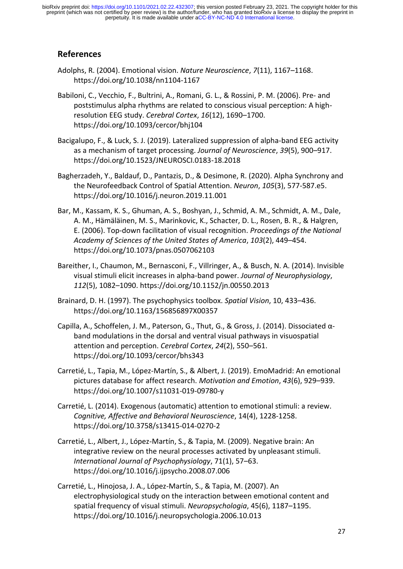# **References**

- Adolphs, R. (2004). Emotional vision. *Nature Neuroscience*, *7*(11), 1167–1168. https://doi.org/10.1038/nn1104-1167
- Babiloni, C., Vecchio, F., Bultrini, A., Romani, G. L., & Rossini, P. M. (2006). Pre- and poststimulus alpha rhythms are related to conscious visual perception: A highresolution EEG study. *Cerebral Cortex*, *16*(12), 1690–1700. https://doi.org/10.1093/cercor/bhj104
- Bacigalupo, F., & Luck, S. J. (2019). Lateralized suppression of alpha-band EEG activity as a mechanism of target processing. *Journal of Neuroscience*, *39*(5), 900–917. https://doi.org/10.1523/JNEUROSCI.0183-18.2018
- Bagherzadeh, Y., Baldauf, D., Pantazis, D., & Desimone, R. (2020). Alpha Synchrony and the Neurofeedback Control of Spatial Attention. *Neuron*, *105*(3), 577-587.e5. https://doi.org/10.1016/j.neuron.2019.11.001
- Bar, M., Kassam, K. S., Ghuman, A. S., Boshyan, J., Schmid, A. M., Schmidt, A. M., Dale, A. M., Hämäläinen, M. S., Marinkovic, K., Schacter, D. L., Rosen, B. R., & Halgren, E. (2006). Top-down facilitation of visual recognition. *Proceedings of the National Academy of Sciences of the United States of America*, *103*(2), 449–454. https://doi.org/10.1073/pnas.0507062103
- Bareither, I., Chaumon, M., Bernasconi, F., Villringer, A., & Busch, N. A. (2014). Invisible visual stimuli elicit increases in alpha-band power. *Journal of Neurophysiology*, *112*(5), 1082–1090. https://doi.org/10.1152/jn.00550.2013
- Brainard, D. H. (1997). The psychophysics toolbox. *Spatial Vision*, 10, 433–436. https://doi.org/10.1163/156856897X00357
- Capilla, A., Schoffelen, J. M., Paterson, G., Thut, G., & Gross, J. (2014). Dissociated αband modulations in the dorsal and ventral visual pathways in visuospatial attention and perception. *Cerebral Cortex*, *24*(2), 550–561. https://doi.org/10.1093/cercor/bhs343
- Carretié, L., Tapia, M., López-Martín, S., & Albert, J. (2019). EmoMadrid: An emotional pictures database for affect research. *Motivation and Emotion*, *43*(6), 929–939. https://doi.org/10.1007/s11031-019-09780-y
- Carretié, L. (2014). Exogenous (automatic) attention to emotional stimuli: a review. *Cognitive, Affective and Behavioral Neuroscience*, 14(4), 1228-1258. https://doi.org/10.3758/s13415-014-0270-2
- Carretié, L., Albert, J., López-Martín, S., & Tapia, M. (2009). Negative brain: An integrative review on the neural processes activated by unpleasant stimuli. *International Journal of Psychophysiology*, 71(1), 57–63. https://doi.org/10.1016/j.ijpsycho.2008.07.006
- Carretié, L., Hinojosa, J. A., López-Martín, S., & Tapia, M. (2007). An electrophysiological study on the interaction between emotional content and spatial frequency of visual stimuli. *Neuropsychologia*, 45(6), 1187–1195. https://doi.org/10.1016/j.neuropsychologia.2006.10.013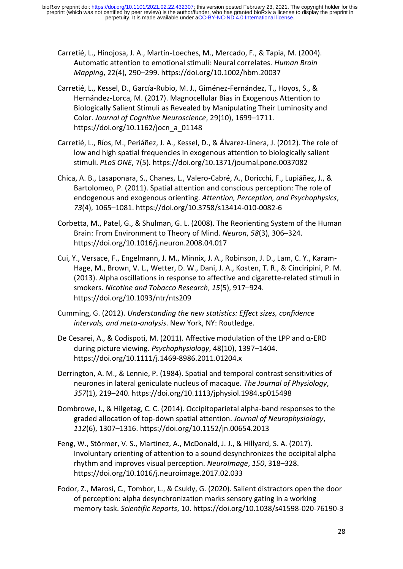- Carretié, L., Hinojosa, J. A., Martín-Loeches, M., Mercado, F., & Tapia, M. (2004). Automatic attention to emotional stimuli: Neural correlates. *Human Brain Mapping*, 22(4), 290–299. https://doi.org/10.1002/hbm.20037
- Carretié, L., Kessel, D., García-Rubio, M. J., Giménez-Fernández, T., Hoyos, S., & Hernández-Lorca, M. (2017). Magnocellular Bias in Exogenous Attention to Biologically Salient Stimuli as Revealed by Manipulating Their Luminosity and Color. *Journal of Cognitive Neuroscience*, 29(10), 1699–1711. https://doi.org/10.1162/jocn\_a\_01148
- Carretié, L., Ríos, M., Periáñez, J. A., Kessel, D., & Álvarez-Linera, J. (2012). The role of low and high spatial frequencies in exogenous attention to biologically salient stimuli. *PLoS ONE*, 7(5). https://doi.org/10.1371/journal.pone.0037082
- Chica, A. B., Lasaponara, S., Chanes, L., Valero-Cabré, A., Doricchi, F., Lupiáñez, J., & Bartolomeo, P. (2011). Spatial attention and conscious perception: The role of endogenous and exogenous orienting. *Attention, Perception, and Psychophysics*, *73*(4), 1065–1081. https://doi.org/10.3758/s13414-010-0082-6
- Corbetta, M., Patel, G., & Shulman, G. L. (2008). The Reorienting System of the Human Brain: From Environment to Theory of Mind. *Neuron*, *58*(3), 306–324. https://doi.org/10.1016/j.neuron.2008.04.017
- Cui, Y., Versace, F., Engelmann, J. M., Minnix, J. A., Robinson, J. D., Lam, C. Y., Karam-Hage, M., Brown, V. L., Wetter, D. W., Dani, J. A., Kosten, T. R., & Cinciripini, P. M. (2013). Alpha oscillations in response to affective and cigarette-related stimuli in smokers. *Nicotine and Tobacco Research*, *15*(5), 917–924. https://doi.org/10.1093/ntr/nts209
- Cumming, G. (2012). *Understanding the new statistics: Effect sizes, confidence intervals, and meta-analysis*. New York, NY: Routledge.
- De Cesarei, A., & Codispoti, M. (2011). Affective modulation of the LPP and α-ERD during picture viewing. *Psychophysiology*, 48(10), 1397–1404. https://doi.org/10.1111/j.1469-8986.2011.01204.x
- Derrington, A. M., & Lennie, P. (1984). Spatial and temporal contrast sensitivities of neurones in lateral geniculate nucleus of macaque. *The Journal of Physiology*, *357*(1), 219–240. https://doi.org/10.1113/jphysiol.1984.sp015498
- Dombrowe, I., & Hilgetag, C. C. (2014). Occipitoparietal alpha-band responses to the graded allocation of top-down spatial attention. *Journal of Neurophysiology*, *112*(6), 1307–1316. https://doi.org/10.1152/jn.00654.2013
- Feng, W., Störmer, V. S., Martinez, A., McDonald, J. J., & Hillyard, S. A. (2017). Involuntary orienting of attention to a sound desynchronizes the occipital alpha rhythm and improves visual perception. *NeuroImage*, *150*, 318–328. https://doi.org/10.1016/j.neuroimage.2017.02.033
- Fodor, Z., Marosi, C., Tombor, L., & Csukly, G. (2020). Salient distractors open the door of perception: alpha desynchronization marks sensory gating in a working memory task. *Scientific Reports*, 10. https://doi.org/10.1038/s41598-020-76190-3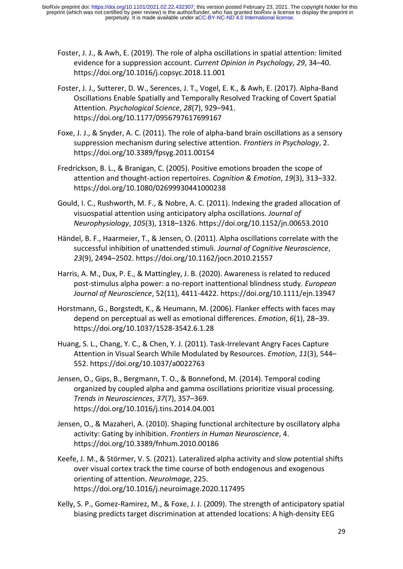- Foster, J. J., & Awh, E. (2019). The role of alpha oscillations in spatial attention: limited evidence for a suppression account. *Current Opinion in Psychology*, *29*, 34–40. https://doi.org/10.1016/j.copsyc.2018.11.001
- Foster, J. J., Sutterer, D. W., Serences, J. T., Vogel, E. K., & Awh, E. (2017). Alpha-Band Oscillations Enable Spatially and Temporally Resolved Tracking of Covert Spatial Attention. *Psychological Science*, *28*(7), 929–941. https://doi.org/10.1177/0956797617699167
- Foxe, J. J., & Snyder, A. C. (2011). The role of alpha-band brain oscillations as a sensory suppression mechanism during selective attention. *Frontiers in Psychology*, 2. https://doi.org/10.3389/fpsyg.2011.00154
- Fredrickson, B. L., & Branigan, C. (2005). Positive emotions broaden the scope of attention and thought‐action repertoires. *Cognition & Emotion*, *19*(3), 313–332. https://doi.org/10.1080/02699930441000238
- Gould, I. C., Rushworth, M. F., & Nobre, A. C. (2011). Indexing the graded allocation of visuospatial attention using anticipatory alpha oscillations. *Journal of Neurophysiology*, *105*(3), 1318–1326. https://doi.org/10.1152/jn.00653.2010
- Händel, B. F., Haarmeier, T., & Jensen, O. (2011). Alpha oscillations correlate with the successful inhibition of unattended stimuli. *Journal of Cognitive Neuroscience*, *23*(9), 2494–2502. https://doi.org/10.1162/jocn.2010.21557
- Harris, A. M., Dux, P. E., & Mattingley, J. B. (2020). Awareness is related to reduced post-stimulus alpha power: a no-report inattentional blindness study. *European Journal of Neuroscience*, 52(11), 4411-4422. https://doi.org/10.1111/ejn.13947
- Horstmann, G., Borgstedt, K., & Heumann, M. (2006). Flanker effects with faces may depend on perceptual as well as emotional differences. *Emotion*, *6*(1), 28–39. https://doi.org/10.1037/1528-3542.6.1.28
- Huang, S. L., Chang, Y. C., & Chen, Y. J. (2011). Task-Irrelevant Angry Faces Capture Attention in Visual Search While Modulated by Resources. *Emotion*, *11*(3), 544– 552. https://doi.org/10.1037/a0022763
- Jensen, O., Gips, B., Bergmann, T. O., & Bonnefond, M. (2014). Temporal coding organized by coupled alpha and gamma oscillations prioritize visual processing. *Trends in Neurosciences*, *37*(7), 357–369. https://doi.org/10.1016/j.tins.2014.04.001
- Jensen, O., & Mazaheri, A. (2010). Shaping functional architecture by oscillatory alpha activity: Gating by inhibition. *Frontiers in Human Neuroscience*, 4. https://doi.org/10.3389/fnhum.2010.00186
- Keefe, J. M., & Störmer, V. S. (2021). Lateralized alpha activity and slow potential shifts over visual cortex track the time course of both endogenous and exogenous orienting of attention. *NeuroImage*, 225. https://doi.org/10.1016/j.neuroimage.2020.117495
- Kelly, S. P., Gomez-Ramirez, M., & Foxe, J. J. (2009). The strength of anticipatory spatial biasing predicts target discrimination at attended locations: A high-density EEG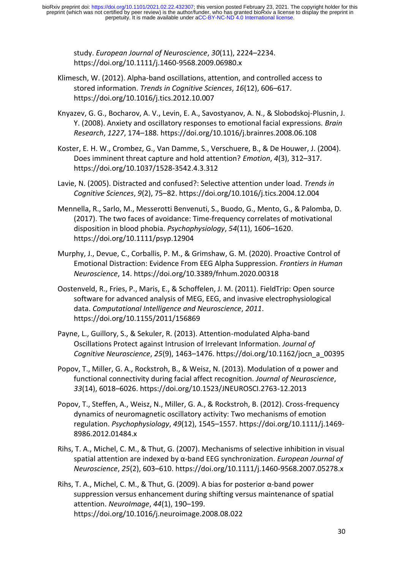study. *European Journal of Neuroscience*, *30*(11), 2224–2234. https://doi.org/10.1111/j.1460-9568.2009.06980.x

- Klimesch, W. (2012). Alpha-band oscillations, attention, and controlled access to stored information. *Trends in Cognitive Sciences*, *16*(12), 606–617. https://doi.org/10.1016/j.tics.2012.10.007
- Knyazev, G. G., Bocharov, A. V., Levin, E. A., Savostyanov, A. N., & Slobodskoj-Plusnin, J. Y. (2008). Anxiety and oscillatory responses to emotional facial expressions. *Brain Research*, *1227*, 174–188. https://doi.org/10.1016/j.brainres.2008.06.108
- Koster, E. H. W., Crombez, G., Van Damme, S., Verschuere, B., & De Houwer, J. (2004). Does imminent threat capture and hold attention? *Emotion*, *4*(3), 312–317. https://doi.org/10.1037/1528-3542.4.3.312
- Lavie, N. (2005). Distracted and confused?: Selective attention under load. *Trends in Cognitive Sciences*, *9*(2), 75–82. https://doi.org/10.1016/j.tics.2004.12.004
- Mennella, R., Sarlo, M., Messerotti Benvenuti, S., Buodo, G., Mento, G., & Palomba, D. (2017). The two faces of avoidance: Time-frequency correlates of motivational disposition in blood phobia. *Psychophysiology*, *54*(11), 1606–1620. https://doi.org/10.1111/psyp.12904
- Murphy, J., Devue, C., Corballis, P. M., & Grimshaw, G. M. (2020). Proactive Control of Emotional Distraction: Evidence From EEG Alpha Suppression. *Frontiers in Human Neuroscience*, 14. https://doi.org/10.3389/fnhum.2020.00318
- Oostenveld, R., Fries, P., Maris, E., & Schoffelen, J. M. (2011). FieldTrip: Open source software for advanced analysis of MEG, EEG, and invasive electrophysiological data. *Computational Intelligence and Neuroscience*, *2011*. https://doi.org/10.1155/2011/156869
- Payne, L., Guillory, S., & Sekuler, R. (2013). Attention-modulated Alpha-band Oscillations Protect against Intrusion of Irrelevant Information. *Journal of Cognitive Neuroscience*, *25*(9), 1463–1476. https://doi.org/10.1162/jocn\_a\_00395
- Popov, T., Miller, G. A., Rockstroh, B., & Weisz, N. (2013). Modulation of α power and functional connectivity during facial affect recognition. *Journal of Neuroscience*, *33*(14), 6018–6026. https://doi.org/10.1523/JNEUROSCI.2763-12.2013
- Popov, T., Steffen, A., Weisz, N., Miller, G. A., & Rockstroh, B. (2012). Cross-frequency dynamics of neuromagnetic oscillatory activity: Two mechanisms of emotion regulation. *Psychophysiology*, *49*(12), 1545–1557. https://doi.org/10.1111/j.1469- 8986.2012.01484.x
- Rihs, T. A., Michel, C. M., & Thut, G. (2007). Mechanisms of selective inhibition in visual spatial attention are indexed by α-band EEG synchronization. *European Journal of Neuroscience*, *25*(2), 603–610. https://doi.org/10.1111/j.1460-9568.2007.05278.x
- Rihs, T. A., Michel, C. M., & Thut, G. (2009). A bias for posterior α-band power suppression versus enhancement during shifting versus maintenance of spatial attention. *NeuroImage*, *44*(1), 190–199. https://doi.org/10.1016/j.neuroimage.2008.08.022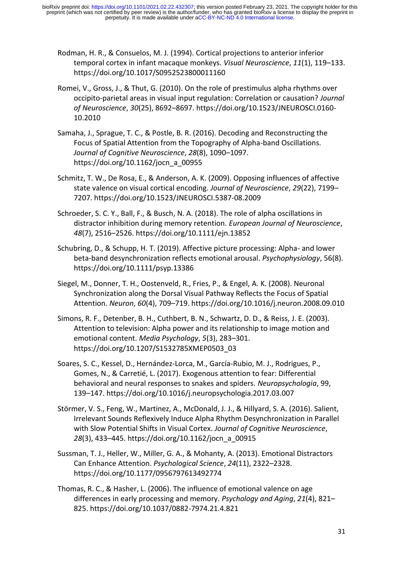- Rodman, H. R., & Consuelos, M. J. (1994). Cortical projections to anterior inferior temporal cortex in infant macaque monkeys. *Visual Neuroscience*, *11*(1), 119–133. https://doi.org/10.1017/S0952523800011160
- Romei, V., Gross, J., & Thut, G. (2010). On the role of prestimulus alpha rhythms over occipito-parietal areas in visual input regulation: Correlation or causation? *Journal of Neuroscience*, *30*(25), 8692–8697. https://doi.org/10.1523/JNEUROSCI.0160- 10.2010
- Samaha, J., Sprague, T. C., & Postle, B. R. (2016). Decoding and Reconstructing the Focus of Spatial Attention from the Topography of Alpha-band Oscillations. *Journal of Cognitive Neuroscience*, *28*(8), 1090–1097. https://doi.org/10.1162/jocn\_a\_00955
- Schmitz, T. W., De Rosa, E., & Anderson, A. K. (2009). Opposing influences of affective state valence on visual cortical encoding. *Journal of Neuroscience*, *29*(22), 7199– 7207. https://doi.org/10.1523/JNEUROSCI.5387-08.2009
- Schroeder, S. C. Y., Ball, F., & Busch, N. A. (2018). The role of alpha oscillations in distractor inhibition during memory retention. *European Journal of Neuroscience*, *48*(7), 2516–2526. https://doi.org/10.1111/ejn.13852
- Schubring, D., & Schupp, H. T. (2019). Affective picture processing: Alpha- and lower beta-band desynchronization reflects emotional arousal. *Psychophysiology*, 56(8). https://doi.org/10.1111/psyp.13386
- Siegel, M., Donner, T. H., Oostenveld, R., Fries, P., & Engel, A. K. (2008). Neuronal Synchronization along the Dorsal Visual Pathway Reflects the Focus of Spatial Attention. *Neuron*, *60*(4), 709–719. https://doi.org/10.1016/j.neuron.2008.09.010
- Simons, R. F., Detenber, B. H., Cuthbert, B. N., Schwartz, D. D., & Reiss, J. E. (2003). Attention to television: Alpha power and its relationship to image motion and emotional content. *Media Psychology*, *5*(3), 283–301. https://doi.org/10.1207/S1532785XMEP0503\_03
- Soares, S. C., Kessel, D., Hernández-Lorca, M., García-Rubio, M. J., Rodrigues, P., Gomes, N., & Carretié, L. (2017). Exogenous attention to fear: Differential behavioral and neural responses to snakes and spiders. *Neuropsychologia*, 99, 139–147. https://doi.org/10.1016/j.neuropsychologia.2017.03.007
- Störmer, V. S., Feng, W., Martinez, A., McDonald, J. J., & Hillyard, S. A. (2016). Salient, Irrelevant Sounds Reflexively Induce Alpha Rhythm Desynchronization in Parallel with Slow Potential Shifts in Visual Cortex. *Journal of Cognitive Neuroscience*, *28*(3), 433–445. https://doi.org/10.1162/jocn\_a\_00915
- Sussman, T. J., Heller, W., Miller, G. A., & Mohanty, A. (2013). Emotional Distractors Can Enhance Attention. *Psychological Science*, *24*(11), 2322–2328. https://doi.org/10.1177/0956797613492774
- Thomas, R. C., & Hasher, L. (2006). The influence of emotional valence on age differences in early processing and memory. *Psychology and Aging*, *21*(4), 821– 825. https://doi.org/10.1037/0882-7974.21.4.821